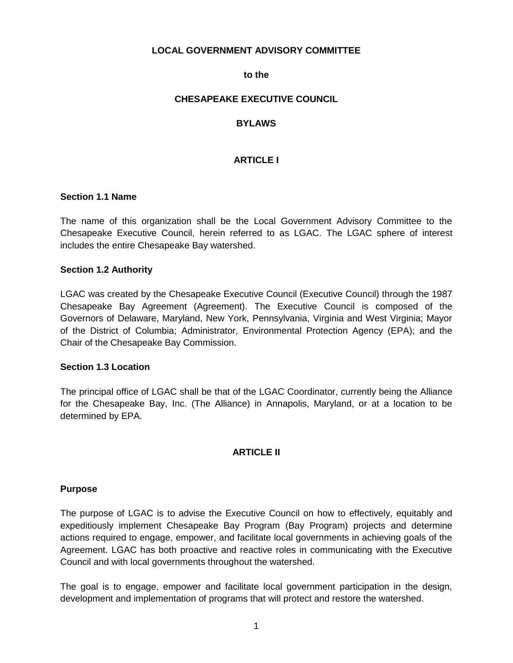## **LOCAL GOVERNMENT ADVISORY COMMITTEE**

### **to the**

## **CHESAPEAKE EXECUTIVE COUNCIL**

# **BYLAWS**

# **ARTICLE I**

### **Section 1.1 Name**

The name of this organization shall be the Local Government Advisory Committee to the Chesapeake Executive Council, herein referred to as LGAC. The LGAC sphere of interest includes the entire Chesapeake Bay watershed.

### **Section 1.2 Authority**

LGAC was created by the Chesapeake Executive Council (Executive Council) through the 1987 Chesapeake Bay Agreement (Agreement). The Executive Council is composed of the Governors of Delaware, Maryland, New York, Pennsylvania, Virginia and West Virginia; Mayor of the District of Columbia; Administrator, Environmental Protection Agency (EPA); and the Chair of the Chesapeake Bay Commission.

### **Section 1.3 Location**

The principal office of LGAC shall be that of the LGAC Coordinator, currently being the Alliance for the Chesapeake Bay, Inc. (The Alliance) in Annapolis, Maryland, or at a location to be determined by EPA.

## **ARTICLE II**

### **Purpose**

The purpose of LGAC is to advise the Executive Council on how to effectively, equitably and expeditiously implement Chesapeake Bay Program (Bay Program) projects and determine actions required to engage, empower, and facilitate local governments in achieving goals of the Agreement. LGAC has both proactive and reactive roles in communicating with the Executive Council and with local governments throughout the watershed.

The goal is to engage, empower and facilitate local government participation in the design, development and implementation of programs that will protect and restore the watershed.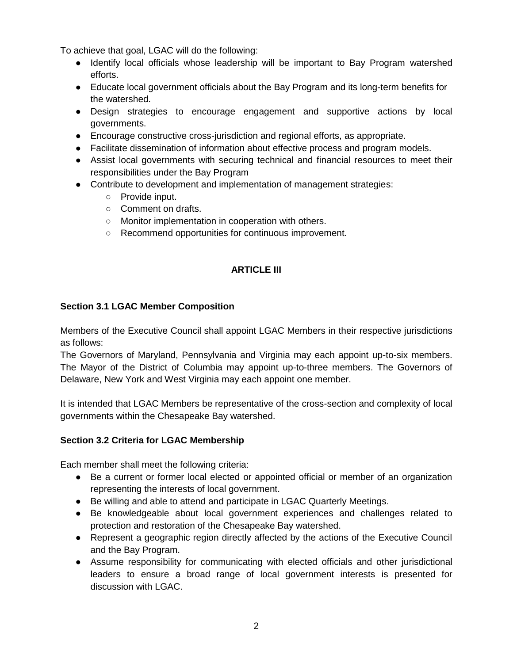To achieve that goal, LGAC will do the following:

- Identify local officials whose leadership will be important to Bay Program watershed efforts.
- Educate local government officials about the Bay Program and its long-term benefits for the watershed.
- Design strategies to encourage engagement and supportive actions by local governments.
- Encourage constructive cross-jurisdiction and regional efforts, as appropriate.
- Facilitate dissemination of information about effective process and program models.
- Assist local governments with securing technical and financial resources to meet their responsibilities under the Bay Program
- Contribute to development and implementation of management strategies:
	- Provide input.
	- Comment on drafts.
	- Monitor implementation in cooperation with others.
	- Recommend opportunities for continuous improvement.

# **ARTICLE III**

# **Section 3.1 LGAC Member Composition**

Members of the Executive Council shall appoint LGAC Members in their respective jurisdictions as follows:

The Governors of Maryland, Pennsylvania and Virginia may each appoint up-to-six members. The Mayor of the District of Columbia may appoint up-to-three members. The Governors of Delaware, New York and West Virginia may each appoint one member.

It is intended that LGAC Members be representative of the cross-section and complexity of local governments within the Chesapeake Bay watershed.

# **Section 3.2 Criteria for LGAC Membership**

Each member shall meet the following criteria:

- Be a current or former local elected or appointed official or member of an organization representing the interests of local government.
- Be willing and able to attend and participate in LGAC Quarterly Meetings.
- Be knowledgeable about local government experiences and challenges related to protection and restoration of the Chesapeake Bay watershed.
- Represent a geographic region directly affected by the actions of the Executive Council and the Bay Program.
- Assume responsibility for communicating with elected officials and other jurisdictional leaders to ensure a broad range of local government interests is presented for discussion with LGAC.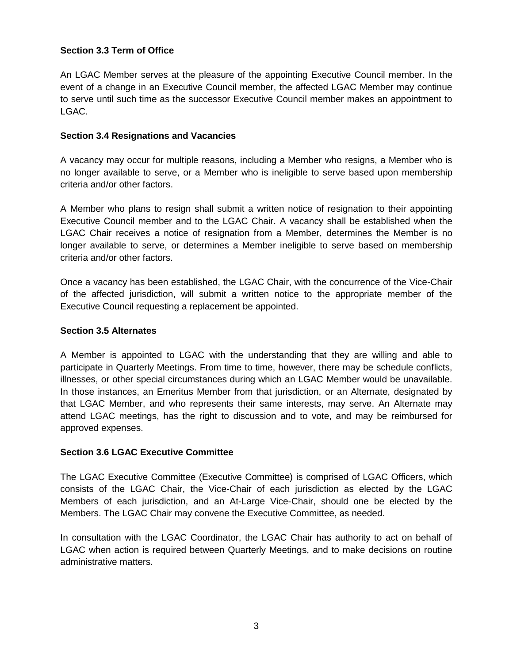# **Section 3.3 Term of Office**

An LGAC Member serves at the pleasure of the appointing Executive Council member. In the event of a change in an Executive Council member, the affected LGAC Member may continue to serve until such time as the successor Executive Council member makes an appointment to LGAC.

## **Section 3.4 Resignations and Vacancies**

A vacancy may occur for multiple reasons, including a Member who resigns, a Member who is no longer available to serve, or a Member who is ineligible to serve based upon membership criteria and/or other factors.

A Member who plans to resign shall submit a written notice of resignation to their appointing Executive Council member and to the LGAC Chair. A vacancy shall be established when the LGAC Chair receives a notice of resignation from a Member, determines the Member is no longer available to serve, or determines a Member ineligible to serve based on membership criteria and/or other factors.

Once a vacancy has been established, the LGAC Chair, with the concurrence of the Vice-Chair of the affected jurisdiction, will submit a written notice to the appropriate member of the Executive Council requesting a replacement be appointed.

### **Section 3.5 Alternates**

A Member is appointed to LGAC with the understanding that they are willing and able to participate in Quarterly Meetings. From time to time, however, there may be schedule conflicts, illnesses, or other special circumstances during which an LGAC Member would be unavailable. In those instances, an Emeritus Member from that jurisdiction, or an Alternate, designated by that LGAC Member, and who represents their same interests, may serve. An Alternate may attend LGAC meetings, has the right to discussion and to vote, and may be reimbursed for approved expenses.

## **Section 3.6 LGAC Executive Committee**

The LGAC Executive Committee (Executive Committee) is comprised of LGAC Officers, which consists of the LGAC Chair, the Vice-Chair of each jurisdiction as elected by the LGAC Members of each jurisdiction, and an At-Large Vice-Chair, should one be elected by the Members. The LGAC Chair may convene the Executive Committee, as needed.

In consultation with the LGAC Coordinator, the LGAC Chair has authority to act on behalf of LGAC when action is required between Quarterly Meetings, and to make decisions on routine administrative matters.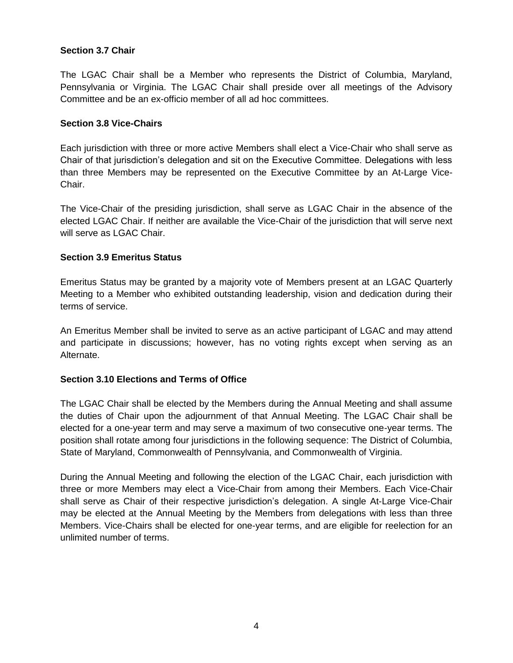# **Section 3.7 Chair**

The LGAC Chair shall be a Member who represents the District of Columbia, Maryland, Pennsylvania or Virginia. The LGAC Chair shall preside over all meetings of the Advisory Committee and be an ex-officio member of all ad hoc committees.

## **Section 3.8 Vice-Chairs**

Each jurisdiction with three or more active Members shall elect a Vice-Chair who shall serve as Chair of that jurisdiction's delegation and sit on the Executive Committee. Delegations with less than three Members may be represented on the Executive Committee by an At-Large Vice-Chair.

The Vice-Chair of the presiding jurisdiction, shall serve as LGAC Chair in the absence of the elected LGAC Chair. If neither are available the Vice-Chair of the jurisdiction that will serve next will serve as LGAC Chair.

## **Section 3.9 Emeritus Status**

Emeritus Status may be granted by a majority vote of Members present at an LGAC Quarterly Meeting to a Member who exhibited outstanding leadership, vision and dedication during their terms of service.

An Emeritus Member shall be invited to serve as an active participant of LGAC and may attend and participate in discussions; however, has no voting rights except when serving as an Alternate.

# **Section 3.10 Elections and Terms of Office**

The LGAC Chair shall be elected by the Members during the Annual Meeting and shall assume the duties of Chair upon the adjournment of that Annual Meeting. The LGAC Chair shall be elected for a one-year term and may serve a maximum of two consecutive one-year terms. The position shall rotate among four jurisdictions in the following sequence: The District of Columbia, State of Maryland, Commonwealth of Pennsylvania, and Commonwealth of Virginia.

During the Annual Meeting and following the election of the LGAC Chair, each jurisdiction with three or more Members may elect a Vice-Chair from among their Members. Each Vice-Chair shall serve as Chair of their respective jurisdiction's delegation. A single At-Large Vice-Chair may be elected at the Annual Meeting by the Members from delegations with less than three Members. Vice-Chairs shall be elected for one-year terms, and are eligible for reelection for an unlimited number of terms.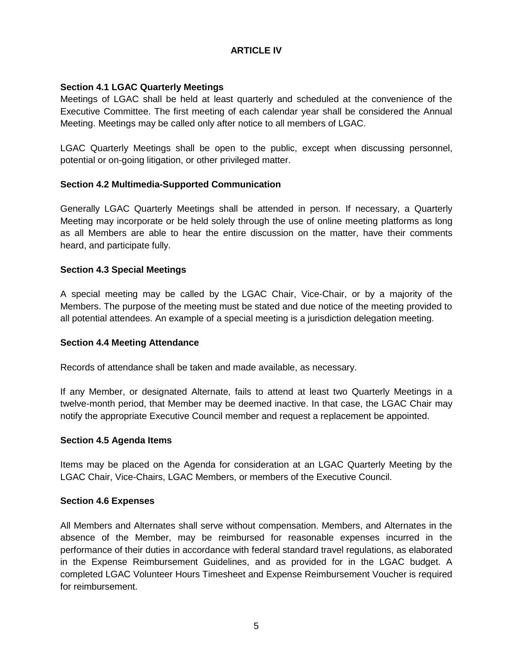# **ARTICLE IV**

# **Section 4.1 LGAC Quarterly Meetings**

Meetings of LGAC shall be held at least quarterly and scheduled at the convenience of the Executive Committee. The first meeting of each calendar year shall be considered the Annual Meeting. Meetings may be called only after notice to all members of LGAC.

LGAC Quarterly Meetings shall be open to the public, except when discussing personnel, potential or on-going litigation, or other privileged matter.

# **Section 4.2 Multimedia-Supported Communication**

Generally LGAC Quarterly Meetings shall be attended in person. If necessary, a Quarterly Meeting may incorporate or be held solely through the use of online meeting platforms as long as all Members are able to hear the entire discussion on the matter, have their comments heard, and participate fully.

# **Section 4.3 Special Meetings**

A special meeting may be called by the LGAC Chair, Vice-Chair, or by a majority of the Members. The purpose of the meeting must be stated and due notice of the meeting provided to all potential attendees. An example of a special meeting is a jurisdiction delegation meeting.

## **Section 4.4 Meeting Attendance**

Records of attendance shall be taken and made available, as necessary.

If any Member, or designated Alternate, fails to attend at least two Quarterly Meetings in a twelve-month period, that Member may be deemed inactive. In that case, the LGAC Chair may notify the appropriate Executive Council member and request a replacement be appointed.

## **Section 4.5 Agenda Items**

Items may be placed on the Agenda for consideration at an LGAC Quarterly Meeting by the LGAC Chair, Vice-Chairs, LGAC Members, or members of the Executive Council.

## **Section 4.6 Expenses**

All Members and Alternates shall serve without compensation. Members, and Alternates in the absence of the Member, may be reimbursed for reasonable expenses incurred in the performance of their duties in accordance with federal standard travel regulations, as elaborated in the Expense Reimbursement Guidelines, and as provided for in the LGAC budget. A completed LGAC Volunteer Hours Timesheet and Expense Reimbursement Voucher is required for reimbursement.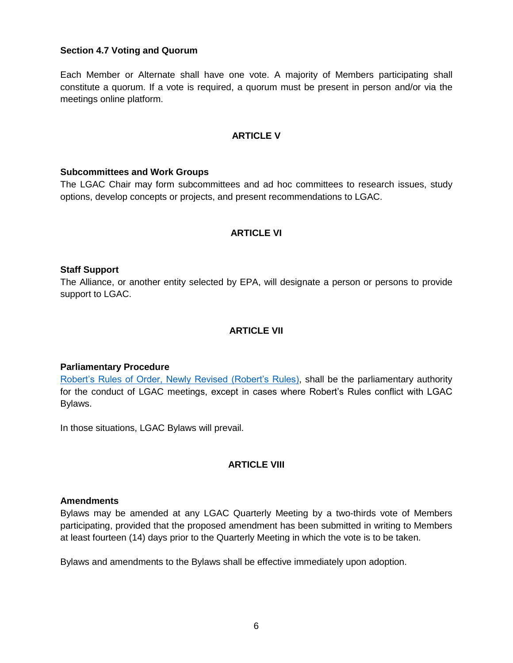## **Section 4.7 Voting and Quorum**

Each Member or Alternate shall have one vote. A majority of Members participating shall constitute a quorum. If a vote is required, a quorum must be present in person and/or via the meetings online platform.

### **ARTICLE V**

### **Subcommittees and Work Groups**

The LGAC Chair may form subcommittees and ad hoc committees to research issues, study options, develop concepts or projects, and present recommendations to LGAC.

## **ARTICLE VI**

### **Staff Support**

The Alliance, or another entity selected by EPA, will designate a person or persons to provide support to LGAC.

### **ARTICLE VII**

### **Parliamentary Procedure**

Robert's Rules [of Order, Newly Revised \(Robert's Rules\),](http://www.rulesonline.com/) shall be the parliamentary authority for the conduct of LGAC meetings, except in cases where Robert's Rules conflict with LGAC Bylaws.

In those situations, LGAC Bylaws will prevail.

### **ARTICLE VIII**

### **Amendments**

Bylaws may be amended at any LGAC Quarterly Meeting by a two-thirds vote of Members participating, provided that the proposed amendment has been submitted in writing to Members at least fourteen (14) days prior to the Quarterly Meeting in which the vote is to be taken.

Bylaws and amendments to the Bylaws shall be effective immediately upon adoption.